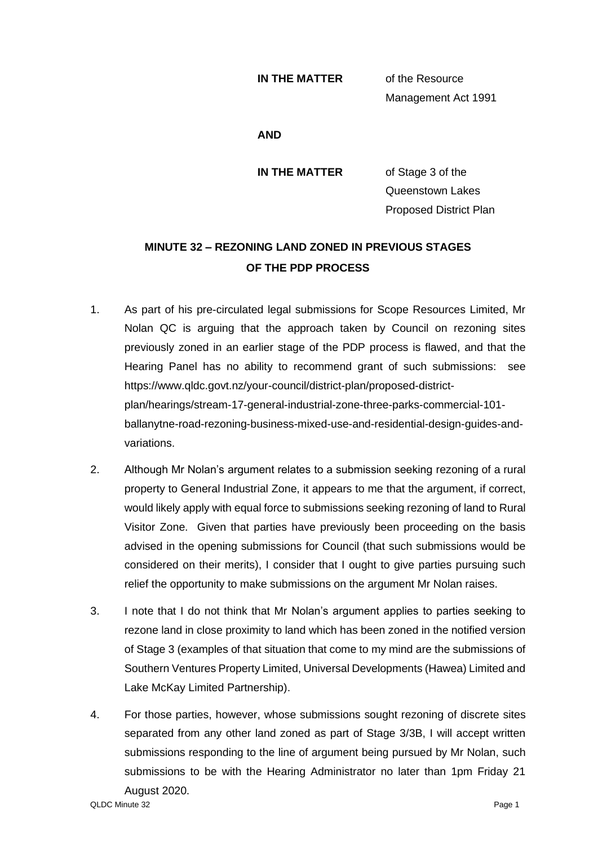## **IN THE MATTER** of the Resource

Management Act 1991

## **AND**

**IN THE MATTER** of Stage 3 of the Queenstown Lakes Proposed District Plan

## **MINUTE 32 – REZONING LAND ZONED IN PREVIOUS STAGES OF THE PDP PROCESS**

- 1. As part of his pre-circulated legal submissions for Scope Resources Limited, Mr Nolan QC is arguing that the approach taken by Council on rezoning sites previously zoned in an earlier stage of the PDP process is flawed, and that the Hearing Panel has no ability to recommend grant of such submissions: see https://www.qldc.govt.nz/your-council/district-plan/proposed-districtplan/hearings/stream-17-general-industrial-zone-three-parks-commercial-101 ballanytne-road-rezoning-business-mixed-use-and-residential-design-guides-andvariations.
- 2. Although Mr Nolan's argument relates to a submission seeking rezoning of a rural property to General Industrial Zone, it appears to me that the argument, if correct, would likely apply with equal force to submissions seeking rezoning of land to Rural Visitor Zone. Given that parties have previously been proceeding on the basis advised in the opening submissions for Council (that such submissions would be considered on their merits), I consider that I ought to give parties pursuing such relief the opportunity to make submissions on the argument Mr Nolan raises.
- 3. I note that I do not think that Mr Nolan's argument applies to parties seeking to rezone land in close proximity to land which has been zoned in the notified version of Stage 3 (examples of that situation that come to my mind are the submissions of Southern Ventures Property Limited, Universal Developments (Hawea) Limited and Lake McKay Limited Partnership).
- 4. For those parties, however, whose submissions sought rezoning of discrete sites separated from any other land zoned as part of Stage 3/3B, I will accept written submissions responding to the line of argument being pursued by Mr Nolan, such submissions to be with the Hearing Administrator no later than 1pm Friday 21 August 2020.